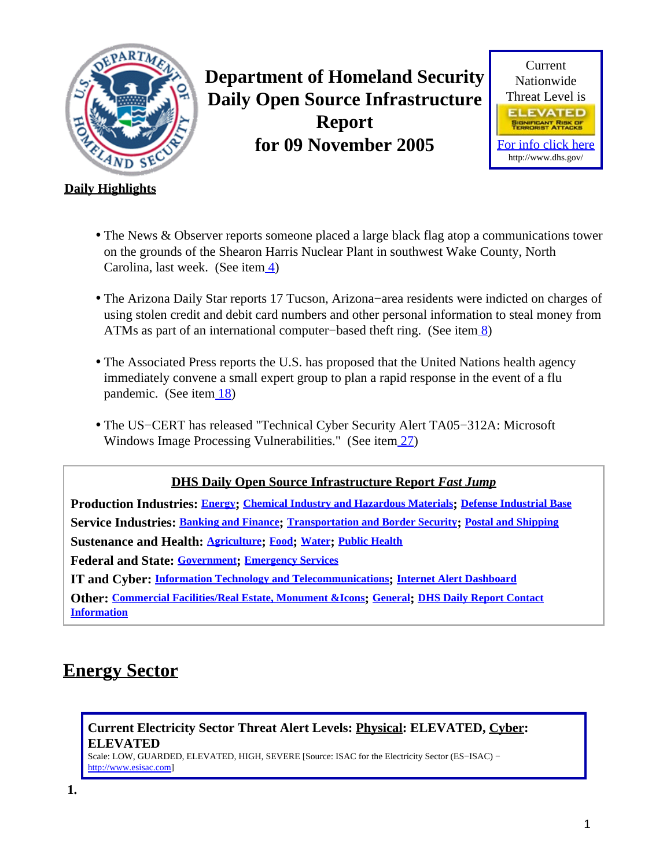<span id="page-0-1"></span>

**Department of Homeland Security Daily Open Source Infrastructure Report for 09 November 2005**



### **Daily Highlights**

- The News & Observer reports someone placed a large black flag atop a communications tower on the grounds of the Shearon Harris Nuclear Plant in southwest Wake County, North Carolina, last week. (See item [4\)](#page-1-0)
- The Arizona Daily Star reports 17 Tucson, Arizona−area residents were indicted on charges of using stolen credit and debit card numbers and other personal information to steal money from ATMs as part of an international computer–based theft ring. (See ite[m 8](#page-3-0))
- The Associated Press reports the U.S. has proposed that the United Nations health agency immediately convene a small expert group to plan a rapid response in the event of a flu pandemic. (See ite[m 18](#page-7-0))
- The US−CERT has released "Technical Cyber Security Alert TA05−312A: Microsoft Windows Image Processing Vulnerabilities." (See item [27\)](#page-10-0)

### **DHS Daily Open Source Infrastructure Report** *Fast Jump*

**Production Industries: [Energy](#page-0-0); [Chemical Industry and Hazardous Materials](#page-2-0); [Defense Industrial Base](#page-2-1) Service Industries: [Banking and Finance](#page-2-2); [Transportation and Border Security](#page-4-0); [Postal and Shipping](#page-5-0) Sustenance and Health: [Agriculture](#page-5-1); [Food](#page-6-0); [Water](#page-6-1); [Public Health](#page-6-2) Federal and State: [Government](#page-9-0); [Emergency Services](#page-9-1) IT and Cyber: [Information Technology and Telecommunications](#page-10-1); [Internet Alert Dashboard](#page-11-0) Other: [Commercial Facilities/Real Estate, Monument &Icons](#page-13-0); [General](#page-13-1); [DHS Daily Report Contact](#page-13-2) [Information](#page-13-2)**

# <span id="page-0-0"></span>**Energy Sector**

**Current Electricity Sector Threat Alert Levels: Physical: ELEVATED, Cyber: ELEVATED**

Scale: LOW, GUARDED, ELEVATED, HIGH, SEVERE [Source: ISAC for the Electricity Sector (ES−ISAC) − [http://www.esisac.com](http://esisac.com)]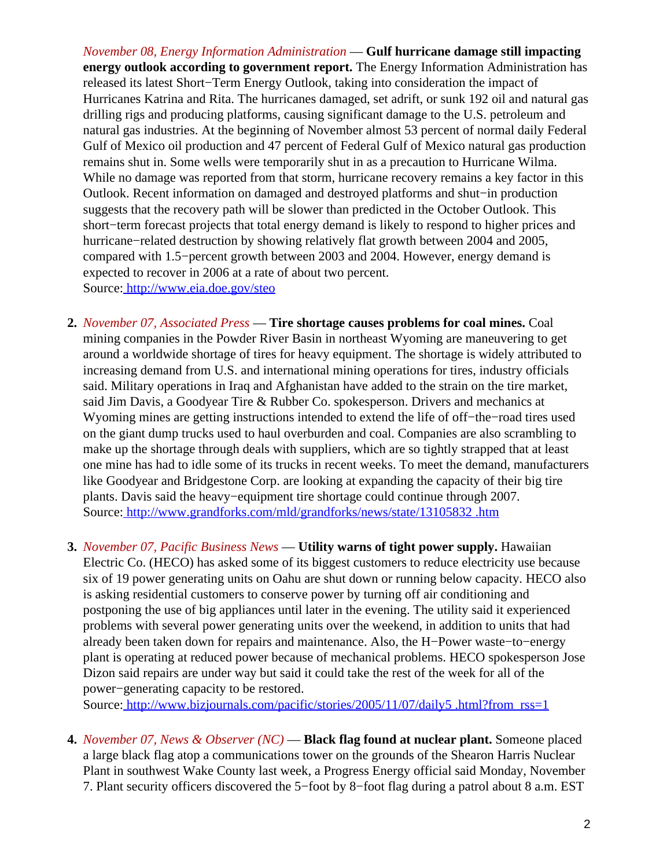*November 08, Energy Information Administration* — **Gulf hurricane damage still impacting energy outlook according to government report.** The Energy Information Administration has released its latest Short−Term Energy Outlook, taking into consideration the impact of Hurricanes Katrina and Rita. The hurricanes damaged, set adrift, or sunk 192 oil and natural gas drilling rigs and producing platforms, causing significant damage to the U.S. petroleum and natural gas industries. At the beginning of November almost 53 percent of normal daily Federal Gulf of Mexico oil production and 47 percent of Federal Gulf of Mexico natural gas production remains shut in. Some wells were temporarily shut in as a precaution to Hurricane Wilma. While no damage was reported from that storm, hurricane recovery remains a key factor in this Outlook. Recent information on damaged and destroyed platforms and shut−in production suggests that the recovery path will be slower than predicted in the October Outlook. This short−term forecast projects that total energy demand is likely to respond to higher prices and hurricane−related destruction by showing relatively flat growth between 2004 and 2005, compared with 1.5−percent growth between 2003 and 2004. However, energy demand is expected to recover in 2006 at a rate of about two percent. Source[: http://www.eia.doe.gov/steo](http://www.eia.doe.gov/steo)

- **2.** *November 07, Associated Press* — **Tire shortage causes problems for coal mines.** Coal mining companies in the Powder River Basin in northeast Wyoming are maneuvering to get around a worldwide shortage of tires for heavy equipment. The shortage is widely attributed to increasing demand from U.S. and international mining operations for tires, industry officials said. Military operations in Iraq and Afghanistan have added to the strain on the tire market, said Jim Davis, a Goodyear Tire & Rubber Co. spokesperson. Drivers and mechanics at Wyoming mines are getting instructions intended to extend the life of off−the−road tires used on the giant dump trucks used to haul overburden and coal. Companies are also scrambling to make up the shortage through deals with suppliers, which are so tightly strapped that at least one mine has had to idle some of its trucks in recent weeks. To meet the demand, manufacturers like Goodyear and Bridgestone Corp. are looking at expanding the capacity of their big tire plants. Davis said the heavy−equipment tire shortage could continue through 2007. Source[: http://www.grandforks.com/mld/grandforks/news/state/13105832 .htm](http://www.grandforks.com/mld/grandforks/news/state/13105832.htm)
- **3.** *November 07, Pacific Business News* — **Utility warns of tight power supply.** Hawaiian Electric Co. (HECO) has asked some of its biggest customers to reduce electricity use because six of 19 power generating units on Oahu are shut down or running below capacity. HECO also is asking residential customers to conserve power by turning off air conditioning and postponing the use of big appliances until later in the evening. The utility said it experienced problems with several power generating units over the weekend, in addition to units that had already been taken down for repairs and maintenance. Also, the H−Power waste−to−energy plant is operating at reduced power because of mechanical problems. HECO spokesperson Jose Dizon said repairs are under way but said it could take the rest of the week for all of the power−generating capacity to be restored.

Source[: http://www.bizjournals.com/pacific/stories/2005/11/07/daily5 .html?from\\_rss=1](http://www.bizjournals.com/pacific/stories/2005/11/07/daily5.html?from_rss=1)

<span id="page-1-0"></span>**4.** *November 07, News & Observer (NC)* — **Black flag found at nuclear plant.** Someone placed a large black flag atop a communications tower on the grounds of the Shearon Harris Nuclear Plant in southwest Wake County last week, a Progress Energy official said Monday, November 7. Plant security officers discovered the 5−foot by 8−foot flag during a patrol about 8 a.m. EST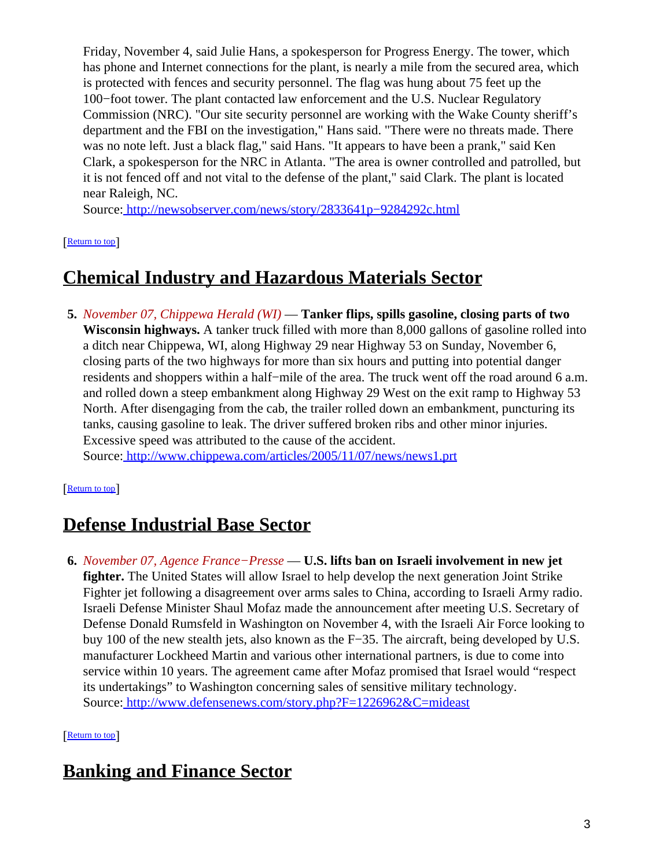Friday, November 4, said Julie Hans, a spokesperson for Progress Energy. The tower, which has phone and Internet connections for the plant, is nearly a mile from the secured area, which is protected with fences and security personnel. The flag was hung about 75 feet up the 100−foot tower. The plant contacted law enforcement and the U.S. Nuclear Regulatory Commission (NRC). "Our site security personnel are working with the Wake County sheriff's department and the FBI on the investigation," Hans said. "There were no threats made. There was no note left. Just a black flag," said Hans. "It appears to have been a prank," said Ken Clark, a spokesperson for the NRC in Atlanta. "The area is owner controlled and patrolled, but it is not fenced off and not vital to the defense of the plant," said Clark. The plant is located near Raleigh, NC.

Source[: http://newsobserver.com/news/story/2833641p−9284292c.html](http://newsobserver.com/news/story/2833641p-9284292c.html)

**[Return to top](#page-0-1)** 

## <span id="page-2-0"></span>**Chemical Industry and Hazardous Materials Sector**

**5.** *November 07, Chippewa Herald (WI)* — **Tanker flips, spills gasoline, closing parts of two Wisconsin highways.** A tanker truck filled with more than 8,000 gallons of gasoline rolled into a ditch near Chippewa, WI, along Highway 29 near Highway 53 on Sunday, November 6, closing parts of the two highways for more than six hours and putting into potential danger residents and shoppers within a half−mile of the area. The truck went off the road around 6 a.m. and rolled down a steep embankment along Highway 29 West on the exit ramp to Highway 53 North. After disengaging from the cab, the trailer rolled down an embankment, puncturing its tanks, causing gasoline to leak. The driver suffered broken ribs and other minor injuries. Excessive speed was attributed to the cause of the accident. Source[: http://www.chippewa.com/articles/2005/11/07/news/news1.prt](http://www.chippewa.com/articles/2005/11/07/news/news1.prt)

[[Return to top](#page-0-1)]

# <span id="page-2-1"></span>**Defense Industrial Base Sector**

**6.** *November 07, Agence France−Presse* — **U.S. lifts ban on Israeli involvement in new jet fighter.** The United States will allow Israel to help develop the next generation Joint Strike Fighter jet following a disagreement over arms sales to China, according to Israeli Army radio. Israeli Defense Minister Shaul Mofaz made the announcement after meeting U.S. Secretary of Defense Donald Rumsfeld in Washington on November 4, with the Israeli Air Force looking to buy 100 of the new stealth jets, also known as the F−35. The aircraft, being developed by U.S. manufacturer Lockheed Martin and various other international partners, is due to come into service within 10 years. The agreement came after Mofaz promised that Israel would "respect its undertakings" to Washington concerning sales of sensitive military technology. Source[: http://www.defensenews.com/story.php?F=1226962&C=mideast](http://www.defensenews.com/story.php?F=1226962&C=mideast)

[[Return to top](#page-0-1)]

# <span id="page-2-2"></span>**Banking and Finance Sector**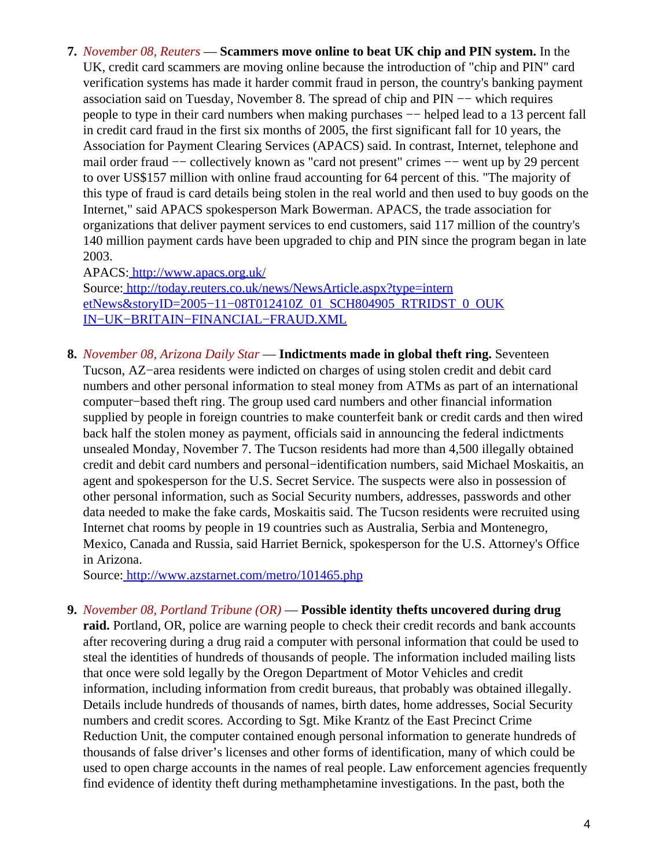**7.** *November 08, Reuters* — **Scammers move online to beat UK chip and PIN system.** In the UK, credit card scammers are moving online because the introduction of "chip and PIN" card verification systems has made it harder commit fraud in person, the country's banking payment association said on Tuesday, November 8. The spread of chip and PIN −− which requires people to type in their card numbers when making purchases — helped lead to a 13 percent fall in credit card fraud in the first six months of 2005, the first significant fall for 10 years, the Association for Payment Clearing Services (APACS) said. In contrast, Internet, telephone and mail order fraud -- collectively known as "card not present" crimes -- went up by 29 percent to over US\$157 million with online fraud accounting for 64 percent of this. "The majority of this type of fraud is card details being stolen in the real world and then used to buy goods on the Internet," said APACS spokesperson Mark Bowerman. APACS, the trade association for organizations that deliver payment services to end customers, said 117 million of the country's 140 million payment cards have been upgraded to chip and PIN since the program began in late 2003.

APACS:<http://www.apacs.org.uk/>

Source[: http://today.reuters.co.uk/news/NewsArticle.aspx?type=intern](http://today.reuters.co.uk/news/NewsArticle.aspx?type=internetNews&storyID=2005-11-08T012410Z_01_SCH804905_RTRIDST_0_OUKIN-UK-BRITAIN-FINANCIAL-FRAUD.XML) [etNews&storyID=2005−11−08T012410Z\\_01\\_SCH804905\\_RTRIDST\\_0\\_OUK](http://today.reuters.co.uk/news/NewsArticle.aspx?type=internetNews&storyID=2005-11-08T012410Z_01_SCH804905_RTRIDST_0_OUKIN-UK-BRITAIN-FINANCIAL-FRAUD.XML) [IN−UK−BRITAIN−FINANCIAL−FRAUD.XML](http://today.reuters.co.uk/news/NewsArticle.aspx?type=internetNews&storyID=2005-11-08T012410Z_01_SCH804905_RTRIDST_0_OUKIN-UK-BRITAIN-FINANCIAL-FRAUD.XML)

<span id="page-3-0"></span>**8.** *November 08, Arizona Daily Star* — **Indictments made in global theft ring.** Seventeen Tucson, AZ−area residents were indicted on charges of using stolen credit and debit card numbers and other personal information to steal money from ATMs as part of an international computer−based theft ring. The group used card numbers and other financial information supplied by people in foreign countries to make counterfeit bank or credit cards and then wired back half the stolen money as payment, officials said in announcing the federal indictments unsealed Monday, November 7. The Tucson residents had more than 4,500 illegally obtained credit and debit card numbers and personal−identification numbers, said Michael Moskaitis, an agent and spokesperson for the U.S. Secret Service. The suspects were also in possession of other personal information, such as Social Security numbers, addresses, passwords and other data needed to make the fake cards, Moskaitis said. The Tucson residents were recruited using Internet chat rooms by people in 19 countries such as Australia, Serbia and Montenegro, Mexico, Canada and Russia, said Harriet Bernick, spokesperson for the U.S. Attorney's Office in Arizona.

Source[: http://www.azstarnet.com/metro/101465.php](http://www.azstarnet.com/metro/101465.php)

#### **9.** *November 08, Portland Tribune (OR)* — **Possible identity thefts uncovered during drug**

**raid.** Portland, OR, police are warning people to check their credit records and bank accounts after recovering during a drug raid a computer with personal information that could be used to steal the identities of hundreds of thousands of people. The information included mailing lists that once were sold legally by the Oregon Department of Motor Vehicles and credit information, including information from credit bureaus, that probably was obtained illegally. Details include hundreds of thousands of names, birth dates, home addresses, Social Security numbers and credit scores. According to Sgt. Mike Krantz of the East Precinct Crime Reduction Unit, the computer contained enough personal information to generate hundreds of thousands of false driver's licenses and other forms of identification, many of which could be used to open charge accounts in the names of real people. Law enforcement agencies frequently find evidence of identity theft during methamphetamine investigations. In the past, both the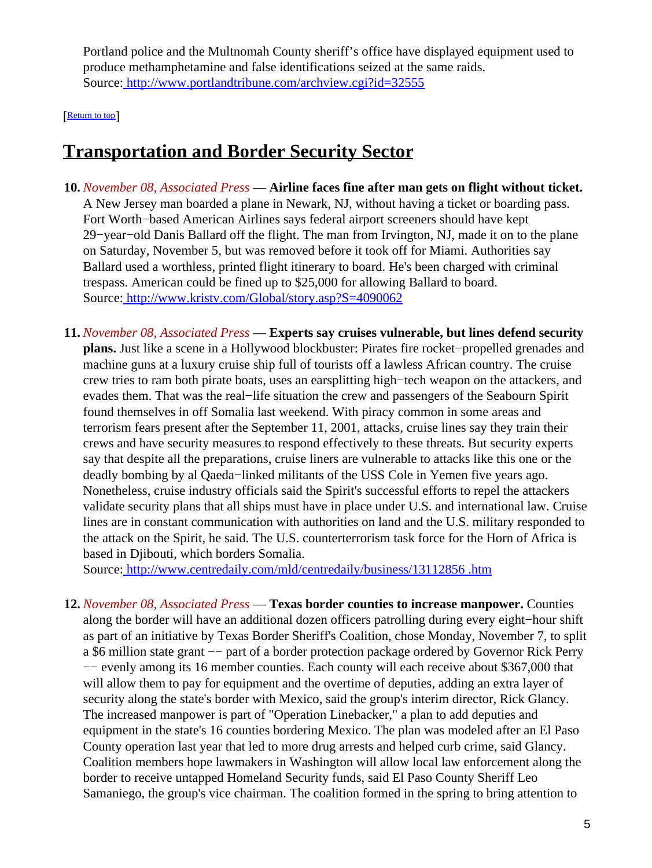Portland police and the Multnomah County sheriff's office have displayed equipment used to produce methamphetamine and false identifications seized at the same raids. Source[: http://www.portlandtribune.com/archview.cgi?id=32555](http://www.portlandtribune.com/archview.cgi?id=32555)

[[Return to top](#page-0-1)]

## <span id="page-4-0"></span>**Transportation and Border Security Sector**

- **10.** *November 08, Associated Press* — **Airline faces fine after man gets on flight without ticket.** A New Jersey man boarded a plane in Newark, NJ, without having a ticket or boarding pass. Fort Worth−based American Airlines says federal airport screeners should have kept 29−year−old Danis Ballard off the flight. The man from Irvington, NJ, made it on to the plane on Saturday, November 5, but was removed before it took off for Miami. Authorities say Ballard used a worthless, printed flight itinerary to board. He's been charged with criminal trespass. American could be fined up to \$25,000 for allowing Ballard to board. Source[: http://www.kristv.com/Global/story.asp?S=4090062](http://www.kristv.com/Global/story.asp?S=4090062)
- **11.** *November 08, Associated Press* — **Experts say cruises vulnerable, but lines defend security plans.** Just like a scene in a Hollywood blockbuster: Pirates fire rocket−propelled grenades and machine guns at a luxury cruise ship full of tourists off a lawless African country. The cruise crew tries to ram both pirate boats, uses an earsplitting high−tech weapon on the attackers, and evades them. That was the real−life situation the crew and passengers of the Seabourn Spirit found themselves in off Somalia last weekend. With piracy common in some areas and terrorism fears present after the September 11, 2001, attacks, cruise lines say they train their crews and have security measures to respond effectively to these threats. But security experts say that despite all the preparations, cruise liners are vulnerable to attacks like this one or the deadly bombing by al Qaeda−linked militants of the USS Cole in Yemen five years ago. Nonetheless, cruise industry officials said the Spirit's successful efforts to repel the attackers validate security plans that all ships must have in place under U.S. and international law. Cruise lines are in constant communication with authorities on land and the U.S. military responded to the attack on the Spirit, he said. The U.S. counterterrorism task force for the Horn of Africa is based in Djibouti, which borders Somalia.

Source[: http://www.centredaily.com/mld/centredaily/business/13112856 .htm](http://www.centredaily.com/mld/centredaily/business/13112856.htm)

**12.** *November 08, Associated Press* — **Texas border counties to increase manpower.** Counties along the border will have an additional dozen officers patrolling during every eight−hour shift as part of an initiative by Texas Border Sheriff's Coalition, chose Monday, November 7, to split a \$6 million state grant −− part of a border protection package ordered by Governor Rick Perry −− evenly among its 16 member counties. Each county will each receive about \$367,000 that will allow them to pay for equipment and the overtime of deputies, adding an extra layer of security along the state's border with Mexico, said the group's interim director, Rick Glancy. The increased manpower is part of "Operation Linebacker," a plan to add deputies and equipment in the state's 16 counties bordering Mexico. The plan was modeled after an El Paso County operation last year that led to more drug arrests and helped curb crime, said Glancy. Coalition members hope lawmakers in Washington will allow local law enforcement along the border to receive untapped Homeland Security funds, said El Paso County Sheriff Leo Samaniego, the group's vice chairman. The coalition formed in the spring to bring attention to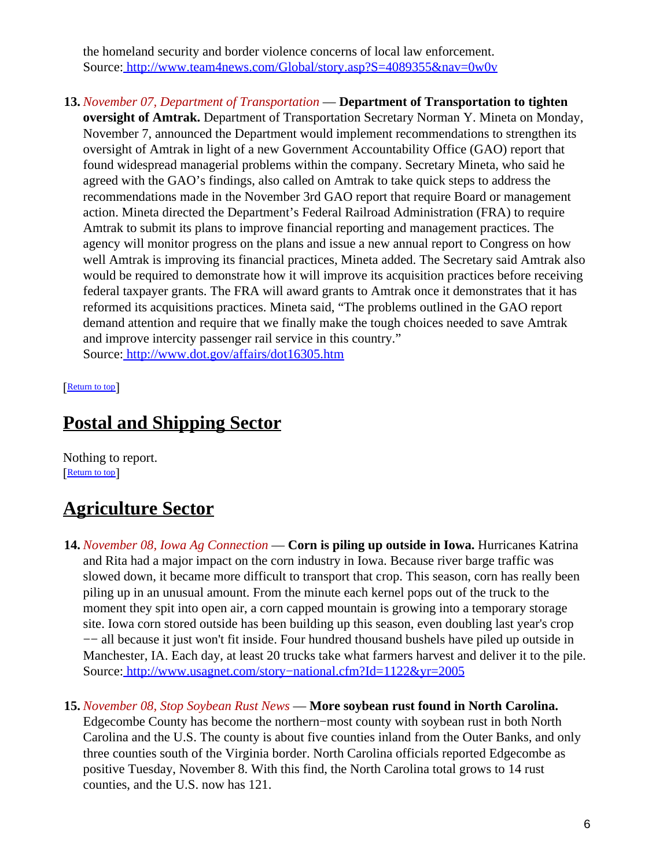the homeland security and border violence concerns of local law enforcement. Source[: http://www.team4news.com/Global/story.asp?S=4089355&nav=0w0v](http://www.team4news.com/Global/story.asp?S=4089355&nav=0w0v)

**13.** *November 07, Department of Transportation* — **Department of Transportation to tighten oversight of Amtrak.** Department of Transportation Secretary Norman Y. Mineta on Monday, November 7, announced the Department would implement recommendations to strengthen its oversight of Amtrak in light of a new Government Accountability Office (GAO) report that found widespread managerial problems within the company. Secretary Mineta, who said he agreed with the GAO's findings, also called on Amtrak to take quick steps to address the recommendations made in the November 3rd GAO report that require Board or management action. Mineta directed the Department's Federal Railroad Administration (FRA) to require Amtrak to submit its plans to improve financial reporting and management practices. The agency will monitor progress on the plans and issue a new annual report to Congress on how well Amtrak is improving its financial practices, Mineta added. The Secretary said Amtrak also would be required to demonstrate how it will improve its acquisition practices before receiving federal taxpayer grants. The FRA will award grants to Amtrak once it demonstrates that it has reformed its acquisitions practices. Mineta said, "The problems outlined in the GAO report demand attention and require that we finally make the tough choices needed to save Amtrak and improve intercity passenger rail service in this country." Source[: http://www.dot.gov/affairs/dot16305.htm](http://www.dot.gov/affairs/dot16305.htm)

[[Return to top](#page-0-1)]

## <span id="page-5-0"></span>**Postal and Shipping Sector**

Nothing to report. **[Return to top](#page-0-1)** 

# <span id="page-5-1"></span>**Agriculture Sector**

- **14.** *November 08, Iowa Ag Connection* — **Corn is piling up outside in Iowa.** Hurricanes Katrina and Rita had a major impact on the corn industry in Iowa. Because river barge traffic was slowed down, it became more difficult to transport that crop. This season, corn has really been piling up in an unusual amount. From the minute each kernel pops out of the truck to the moment they spit into open air, a corn capped mountain is growing into a temporary storage site. Iowa corn stored outside has been building up this season, even doubling last year's crop −− all because it just won't fit inside. Four hundred thousand bushels have piled up outside in Manchester, IA. Each day, at least 20 trucks take what farmers harvest and deliver it to the pile. Source[: http://www.usagnet.com/story−national.cfm?Id=1122&yr=2005](http://www.usagnet.com/story-national.cfm?Id=1122&yr=2005)
- **15.** *November 08, Stop Soybean Rust News* — **More soybean rust found in North Carolina.** Edgecombe County has become the northern−most county with soybean rust in both North Carolina and the U.S. The county is about five counties inland from the Outer Banks, and only three counties south of the Virginia border. North Carolina officials reported Edgecombe as positive Tuesday, November 8. With this find, the North Carolina total grows to 14 rust counties, and the U.S. now has 121.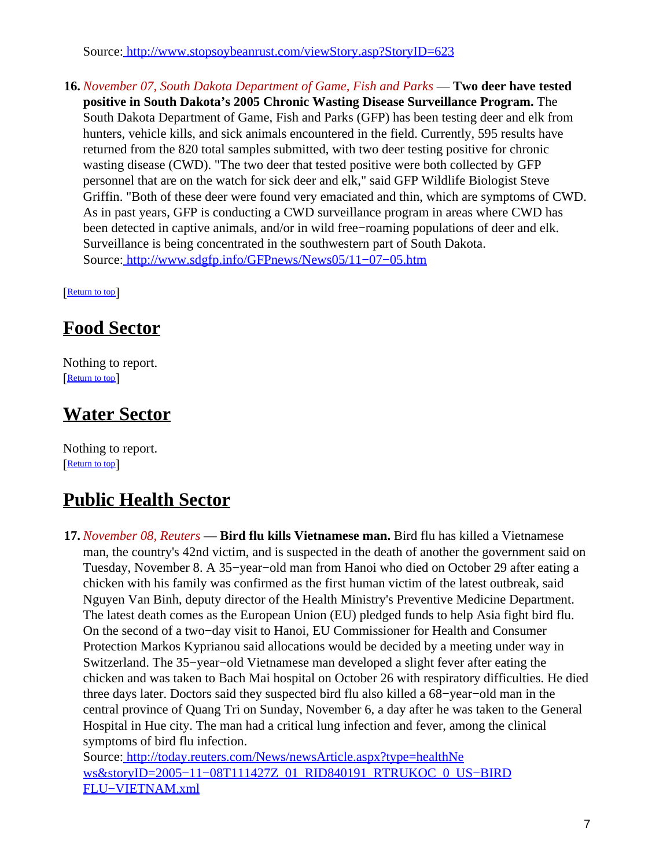Source[: http://www.stopsoybeanrust.com/viewStory.asp?StoryID=623](http://www.stopsoybeanrust.com/viewStory.asp?StoryID=623)

**16.** *November 07, South Dakota Department of Game, Fish and Parks* — **Two deer have tested positive in South Dakota's 2005 Chronic Wasting Disease Surveillance Program.** The South Dakota Department of Game, Fish and Parks (GFP) has been testing deer and elk from hunters, vehicle kills, and sick animals encountered in the field. Currently, 595 results have returned from the 820 total samples submitted, with two deer testing positive for chronic wasting disease (CWD). "The two deer that tested positive were both collected by GFP personnel that are on the watch for sick deer and elk," said GFP Wildlife Biologist Steve Griffin. "Both of these deer were found very emaciated and thin, which are symptoms of CWD. As in past years, GFP is conducting a CWD surveillance program in areas where CWD has been detected in captive animals, and/or in wild free−roaming populations of deer and elk. Surveillance is being concentrated in the southwestern part of South Dakota. Source[: http://www.sdgfp.info/GFPnews/News05/11−07−05.htm](http://www.sdgfp.info/GFPnews/News05/11-07-05.htm)

[[Return to top](#page-0-1)]

## <span id="page-6-0"></span>**Food Sector**

Nothing to report. [[Return to top](#page-0-1)]

## <span id="page-6-1"></span>**Water Sector**

Nothing to report. [[Return to top](#page-0-1)]

## <span id="page-6-2"></span>**Public Health Sector**

**17.** *November 08, Reuters* — **Bird flu kills Vietnamese man.** Bird flu has killed a Vietnamese man, the country's 42nd victim, and is suspected in the death of another the government said on Tuesday, November 8. A 35−year−old man from Hanoi who died on October 29 after eating a chicken with his family was confirmed as the first human victim of the latest outbreak, said Nguyen Van Binh, deputy director of the Health Ministry's Preventive Medicine Department. The latest death comes as the European Union (EU) pledged funds to help Asia fight bird flu. On the second of a two−day visit to Hanoi, EU Commissioner for Health and Consumer Protection Markos Kyprianou said allocations would be decided by a meeting under way in Switzerland. The 35−year−old Vietnamese man developed a slight fever after eating the chicken and was taken to Bach Mai hospital on October 26 with respiratory difficulties. He died three days later. Doctors said they suspected bird flu also killed a 68−year−old man in the central province of Quang Tri on Sunday, November 6, a day after he was taken to the General Hospital in Hue city. The man had a critical lung infection and fever, among the clinical symptoms of bird flu infection.

Source[: http://today.reuters.com/News/newsArticle.aspx?type=healthNe](http://today.reuters.com/News/newsArticle.aspx?type=healthNews&storyID=2005-11-08T111427Z_01_RID840191_RTRUKOC_0_US-BIRDFLU-VIETNAM.xml) ws&storyID=2005-11-08T111427Z\_01\_RID840191\_RTRUKOC\_0\_US-BIRD [FLU−VIETNAM.xml](http://today.reuters.com/News/newsArticle.aspx?type=healthNews&storyID=2005-11-08T111427Z_01_RID840191_RTRUKOC_0_US-BIRDFLU-VIETNAM.xml)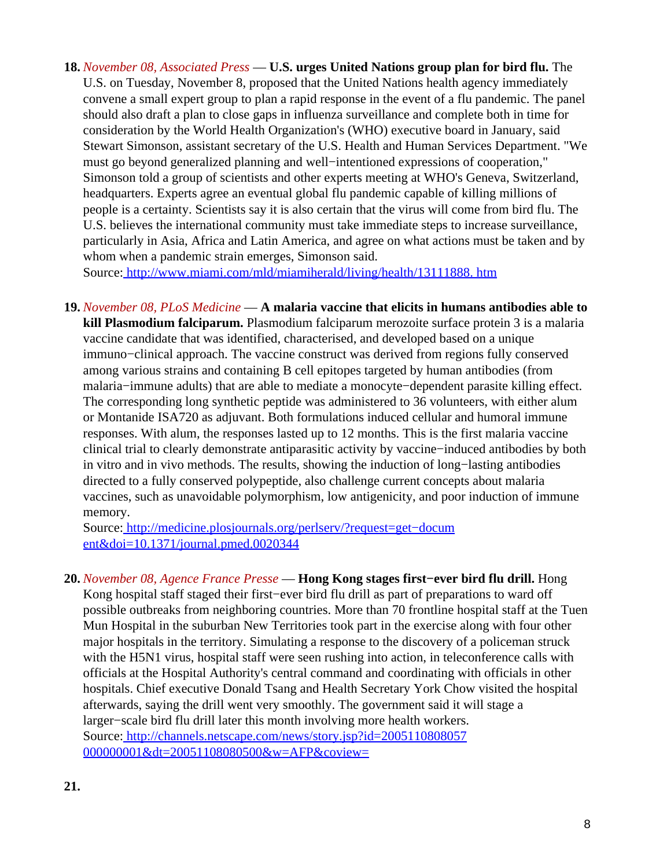<span id="page-7-0"></span>**18.** *November 08, Associated Press* — **U.S. urges United Nations group plan for bird flu.** The U.S. on Tuesday, November 8, proposed that the United Nations health agency immediately convene a small expert group to plan a rapid response in the event of a flu pandemic. The panel should also draft a plan to close gaps in influenza surveillance and complete both in time for consideration by the World Health Organization's (WHO) executive board in January, said Stewart Simonson, assistant secretary of the U.S. Health and Human Services Department. "We must go beyond generalized planning and well−intentioned expressions of cooperation," Simonson told a group of scientists and other experts meeting at WHO's Geneva, Switzerland, headquarters. Experts agree an eventual global flu pandemic capable of killing millions of people is a certainty. Scientists say it is also certain that the virus will come from bird flu. The U.S. believes the international community must take immediate steps to increase surveillance, particularly in Asia, Africa and Latin America, and agree on what actions must be taken and by whom when a pandemic strain emerges, Simonson said.

Source[: http://www.miami.com/mld/miamiherald/living/health/13111888. htm](http://www.miami.com/mld/miamiherald/living/health/13111888.htm)

**19.** *November 08, PLoS Medicine* — **A malaria vaccine that elicits in humans antibodies able to kill Plasmodium falciparum.** Plasmodium falciparum merozoite surface protein 3 is a malaria vaccine candidate that was identified, characterised, and developed based on a unique immuno−clinical approach. The vaccine construct was derived from regions fully conserved among various strains and containing B cell epitopes targeted by human antibodies (from malaria−immune adults) that are able to mediate a monocyte−dependent parasite killing effect. The corresponding long synthetic peptide was administered to 36 volunteers, with either alum or Montanide ISA720 as adjuvant. Both formulations induced cellular and humoral immune responses. With alum, the responses lasted up to 12 months. This is the first malaria vaccine clinical trial to clearly demonstrate antiparasitic activity by vaccine−induced antibodies by both in vitro and in vivo methods. The results, showing the induction of long−lasting antibodies directed to a fully conserved polypeptide, also challenge current concepts about malaria vaccines, such as unavoidable polymorphism, low antigenicity, and poor induction of immune memory.

Source[: http://medicine.plosjournals.org/perlserv/?request=get−docum](http://medicine.plosjournals.org/perlserv/?request=get-document&doi=10.1371/journal.pmed.0020344) [ent&doi=10.1371/journal.pmed.0020344](http://medicine.plosjournals.org/perlserv/?request=get-document&doi=10.1371/journal.pmed.0020344)

**20.** *November 08, Agence France Presse* — **Hong Kong stages first−ever bird flu drill.** Hong Kong hospital staff staged their first−ever bird flu drill as part of preparations to ward off possible outbreaks from neighboring countries. More than 70 frontline hospital staff at the Tuen Mun Hospital in the suburban New Territories took part in the exercise along with four other major hospitals in the territory. Simulating a response to the discovery of a policeman struck with the H5N1 virus, hospital staff were seen rushing into action, in teleconference calls with officials at the Hospital Authority's central command and coordinating with officials in other hospitals. Chief executive Donald Tsang and Health Secretary York Chow visited the hospital afterwards, saying the drill went very smoothly. The government said it will stage a larger−scale bird flu drill later this month involving more health workers. Source[: http://channels.netscape.com/news/story.jsp?id=2005110808057](http://channels.netscape.com/news/story.jsp?id=2005110808057000000001&dt=20051108080500&w=AFP&coview=) [000000001&dt=20051108080500&w=AFP&coview=](http://channels.netscape.com/news/story.jsp?id=2005110808057000000001&dt=20051108080500&w=AFP&coview=)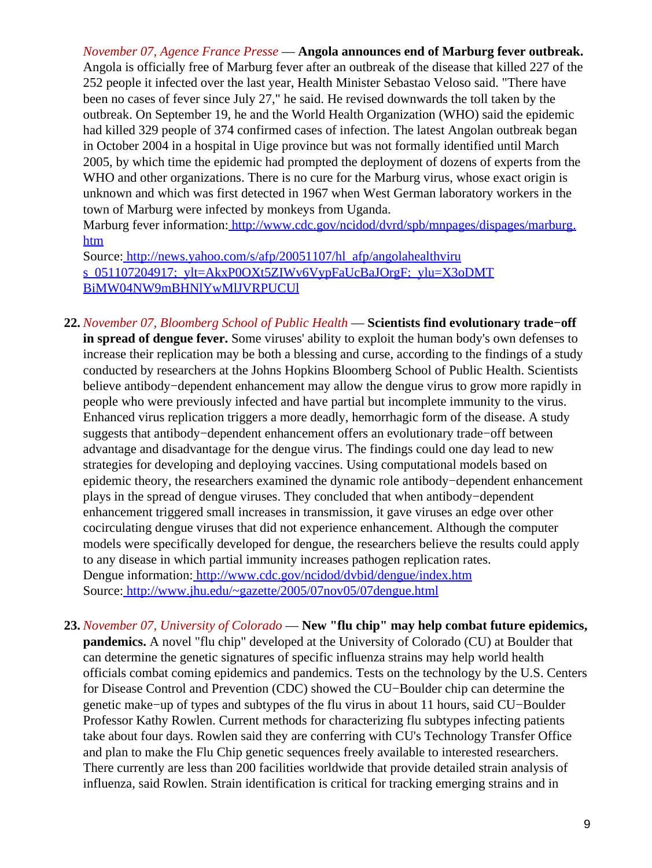*November 07, Agence France Presse* — **Angola announces end of Marburg fever outbreak.** Angola is officially free of Marburg fever after an outbreak of the disease that killed 227 of the 252 people it infected over the last year, Health Minister Sebastao Veloso said. "There have been no cases of fever since July 27," he said. He revised downwards the toll taken by the outbreak. On September 19, he and the World Health Organization (WHO) said the epidemic had killed 329 people of 374 confirmed cases of infection. The latest Angolan outbreak began in October 2004 in a hospital in Uige province but was not formally identified until March 2005, by which time the epidemic had prompted the deployment of dozens of experts from the WHO and other organizations. There is no cure for the Marburg virus, whose exact origin is unknown and which was first detected in 1967 when West German laboratory workers in the town of Marburg were infected by monkeys from Uganda.

Marburg fever information[: http://www.cdc.gov/ncidod/dvrd/spb/mnpages/dispages/marburg.](http://www.cdc.gov/ncidod/dvrd/spb/mnpages/dispages/marburg.htm) [htm](http://www.cdc.gov/ncidod/dvrd/spb/mnpages/dispages/marburg.htm)

Source[: http://news.yahoo.com/s/afp/20051107/hl\\_afp/angolahealthviru](http://news.yahoo.com/s/afp/20051107/hl_afp/angolahealthvirus_051107204917;_ylt=AkxP0OXt5ZIWv6VypFaUcBaJOrgF;_ylu=X3oDMTBiMW04NW9mBHNlYwMlJVRPUCUl) [s\\_051107204917;\\_ylt=AkxP0OXt5ZIWv6VypFaUcBaJOrgF;\\_ylu=X3oDMT](http://news.yahoo.com/s/afp/20051107/hl_afp/angolahealthvirus_051107204917;_ylt=AkxP0OXt5ZIWv6VypFaUcBaJOrgF;_ylu=X3oDMTBiMW04NW9mBHNlYwMlJVRPUCUl) [BiMW04NW9mBHNlYwMlJVRPUCUl](http://news.yahoo.com/s/afp/20051107/hl_afp/angolahealthvirus_051107204917;_ylt=AkxP0OXt5ZIWv6VypFaUcBaJOrgF;_ylu=X3oDMTBiMW04NW9mBHNlYwMlJVRPUCUl)

- **22.** *November 07, Bloomberg School of Public Health* — **Scientists find evolutionary trade−off in spread of dengue fever.** Some viruses' ability to exploit the human body's own defenses to increase their replication may be both a blessing and curse, according to the findings of a study conducted by researchers at the Johns Hopkins Bloomberg School of Public Health. Scientists believe antibody−dependent enhancement may allow the dengue virus to grow more rapidly in people who were previously infected and have partial but incomplete immunity to the virus. Enhanced virus replication triggers a more deadly, hemorrhagic form of the disease. A study suggests that antibody−dependent enhancement offers an evolutionary trade−off between advantage and disadvantage for the dengue virus. The findings could one day lead to new strategies for developing and deploying vaccines. Using computational models based on epidemic theory, the researchers examined the dynamic role antibody−dependent enhancement plays in the spread of dengue viruses. They concluded that when antibody−dependent enhancement triggered small increases in transmission, it gave viruses an edge over other cocirculating dengue viruses that did not experience enhancement. Although the computer models were specifically developed for dengue, the researchers believe the results could apply to any disease in which partial immunity increases pathogen replication rates. Dengue information[: http://www.cdc.gov/ncidod/dvbid/dengue/index.htm](http://www.cdc.gov/ncidod/dvbid/dengue/index.htm) Source[: http://www.jhu.edu/~gazette/2005/07nov05/07dengue.html](http://www.jhu.edu/~gazette/2005/07nov05/07dengue.html)
- **23.** *November 07, University of Colorado* — **New "flu chip" may help combat future epidemics, pandemics.** A novel "flu chip" developed at the University of Colorado (CU) at Boulder that can determine the genetic signatures of specific influenza strains may help world health officials combat coming epidemics and pandemics. Tests on the technology by the U.S. Centers for Disease Control and Prevention (CDC) showed the CU−Boulder chip can determine the genetic make−up of types and subtypes of the flu virus in about 11 hours, said CU−Boulder Professor Kathy Rowlen. Current methods for characterizing flu subtypes infecting patients take about four days. Rowlen said they are conferring with CU's Technology Transfer Office and plan to make the Flu Chip genetic sequences freely available to interested researchers. There currently are less than 200 facilities worldwide that provide detailed strain analysis of influenza, said Rowlen. Strain identification is critical for tracking emerging strains and in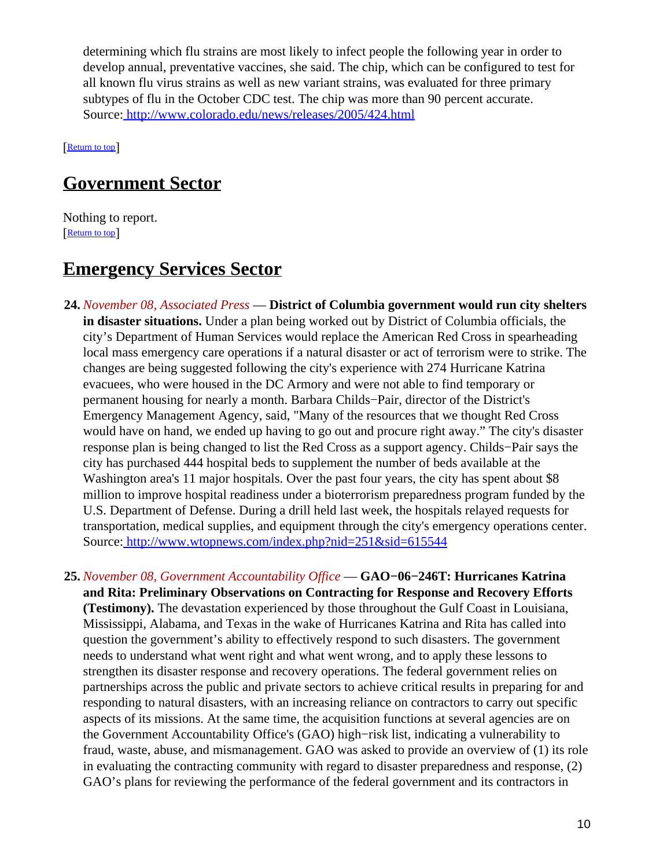determining which flu strains are most likely to infect people the following year in order to develop annual, preventative vaccines, she said. The chip, which can be configured to test for all known flu virus strains as well as new variant strains, was evaluated for three primary subtypes of flu in the October CDC test. The chip was more than 90 percent accurate. Source[: http://www.colorado.edu/news/releases/2005/424.html](http://www.colorado.edu/news/releases/2005/424.html)

[[Return to top](#page-0-1)]

## <span id="page-9-0"></span>**Government Sector**

Nothing to report. [[Return to top](#page-0-1)]

## <span id="page-9-1"></span>**Emergency Services Sector**

- **24.** *November 08, Associated Press* — **District of Columbia government would run city shelters in disaster situations.** Under a plan being worked out by District of Columbia officials, the city's Department of Human Services would replace the American Red Cross in spearheading local mass emergency care operations if a natural disaster or act of terrorism were to strike. The changes are being suggested following the city's experience with 274 Hurricane Katrina evacuees, who were housed in the DC Armory and were not able to find temporary or permanent housing for nearly a month. Barbara Childs−Pair, director of the District's Emergency Management Agency, said, "Many of the resources that we thought Red Cross would have on hand, we ended up having to go out and procure right away." The city's disaster response plan is being changed to list the Red Cross as a support agency. Childs−Pair says the city has purchased 444 hospital beds to supplement the number of beds available at the Washington area's 11 major hospitals. Over the past four years, the city has spent about \$8 million to improve hospital readiness under a bioterrorism preparedness program funded by the U.S. Department of Defense. During a drill held last week, the hospitals relayed requests for transportation, medical supplies, and equipment through the city's emergency operations center. Source[: http://www.wtopnews.com/index.php?nid=251&sid=615544](http://www.wtopnews.com/index.php?nid=251&sid=615544)
- **25.** *November 08, Government Accountability Office* — **GAO−06−246T: Hurricanes Katrina and Rita: Preliminary Observations on Contracting for Response and Recovery Efforts (Testimony).** The devastation experienced by those throughout the Gulf Coast in Louisiana, Mississippi, Alabama, and Texas in the wake of Hurricanes Katrina and Rita has called into question the government's ability to effectively respond to such disasters. The government needs to understand what went right and what went wrong, and to apply these lessons to strengthen its disaster response and recovery operations. The federal government relies on partnerships across the public and private sectors to achieve critical results in preparing for and responding to natural disasters, with an increasing reliance on contractors to carry out specific aspects of its missions. At the same time, the acquisition functions at several agencies are on the Government Accountability Office's (GAO) high−risk list, indicating a vulnerability to fraud, waste, abuse, and mismanagement. GAO was asked to provide an overview of (1) its role in evaluating the contracting community with regard to disaster preparedness and response, (2) GAO's plans for reviewing the performance of the federal government and its contractors in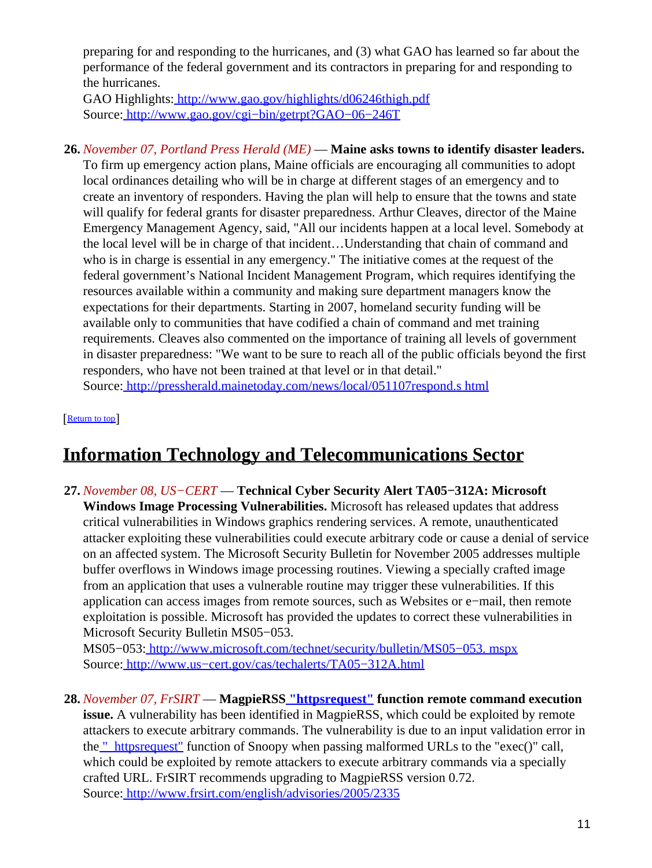preparing for and responding to the hurricanes, and (3) what GAO has learned so far about the performance of the federal government and its contractors in preparing for and responding to the hurricanes.

GAO Highlights:<http://www.gao.gov/highlights/d06246thigh.pdf> Source[: http://www.gao.gov/cgi−bin/getrpt?GAO−06−246T](http://www.gao.gov/cgi-bin/getrpt?GAO-06-246T)

**26.** *November 07, Portland Press Herald (ME)* — **Maine asks towns to identify disaster leaders.**

To firm up emergency action plans, Maine officials are encouraging all communities to adopt local ordinances detailing who will be in charge at different stages of an emergency and to create an inventory of responders. Having the plan will help to ensure that the towns and state will qualify for federal grants for disaster preparedness. Arthur Cleaves, director of the Maine Emergency Management Agency, said, "All our incidents happen at a local level. Somebody at the local level will be in charge of that incident…Understanding that chain of command and who is in charge is essential in any emergency." The initiative comes at the request of the federal government's National Incident Management Program, which requires identifying the resources available within a community and making sure department managers know the expectations for their departments. Starting in 2007, homeland security funding will be available only to communities that have codified a chain of command and met training requirements. Cleaves also commented on the importance of training all levels of government in disaster preparedness: "We want to be sure to reach all of the public officials beyond the first responders, who have not been trained at that level or in that detail." Source[: http://pressherald.mainetoday.com/news/local/051107respond.s html](http://pressherald.mainetoday.com/news/local/051107respond.shtml)

[[Return to top](#page-0-1)]

# <span id="page-10-1"></span>**Information Technology and Telecommunications Sector**

<span id="page-10-0"></span>**27.** *November 08, US−CERT* — **Technical Cyber Security Alert TA05−312A: Microsoft Windows Image Processing Vulnerabilities.** Microsoft has released updates that address critical vulnerabilities in Windows graphics rendering services. A remote, unauthenticated attacker exploiting these vulnerabilities could execute arbitrary code or cause a denial of service on an affected system. The Microsoft Security Bulletin for November 2005 addresses multiple buffer overflows in Windows image processing routines. Viewing a specially crafted image from an application that uses a vulnerable routine may trigger these vulnerabilities. If this application can access images from remote sources, such as Websites or e−mail, then remote exploitation is possible. Microsoft has provided the updates to correct these vulnerabilities in Microsoft Security Bulletin MS05−053.

MS05−053[: http://www.microsoft.com/technet/security/bulletin/MS05−053. mspx](http://www.microsoft.com/technet/security/bulletin/MS05-053.mspx) Source[: http://www.us−cert.gov/cas/techalerts/TA05−312A.html](http://www.us-cert.gov/cas/techalerts/TA05-312A.html)

**28.** *November 07, FrSIRT* — **MagpieRSS "httpsrequest" function remote command execution issue.** A vulnerability has been identified in MagpieRSS, which could be exploited by remote attackers to execute arbitrary commands. The vulnerability is due to an input validation error in the <u>" httpsrequest"</u> function of Snoopy when passing malformed URLs to the "exec()" call, which could be exploited by remote attackers to execute arbitrary commands via a specially crafted URL. FrSIRT recommends upgrading to MagpieRSS version 0.72. Source[: http://www.frsirt.com/english/advisories/2005/2335](http://www.frsirt.com/english/advisories/2005/2335)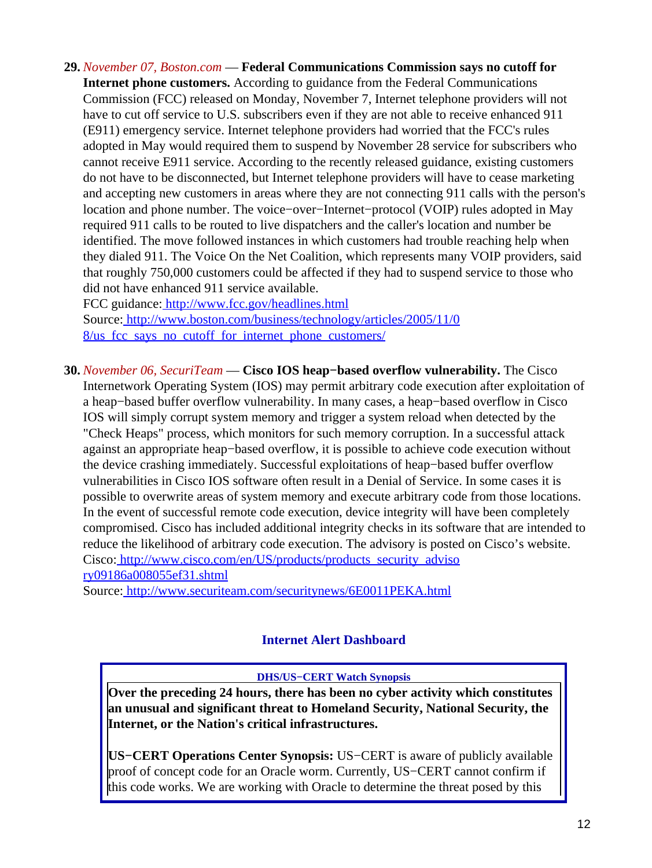**29.** *November 07, Boston.com* — **Federal Communications Commission says no cutoff for**

**Internet phone customers.** According to guidance from the Federal Communications Commission (FCC) released on Monday, November 7, Internet telephone providers will not have to cut off service to U.S. subscribers even if they are not able to receive enhanced 911 (E911) emergency service. Internet telephone providers had worried that the FCC's rules adopted in May would required them to suspend by November 28 service for subscribers who cannot receive E911 service. According to the recently released guidance, existing customers do not have to be disconnected, but Internet telephone providers will have to cease marketing and accepting new customers in areas where they are not connecting 911 calls with the person's location and phone number. The voice−over−Internet−protocol (VOIP) rules adopted in May required 911 calls to be routed to live dispatchers and the caller's location and number be identified. The move followed instances in which customers had trouble reaching help when they dialed 911. The Voice On the Net Coalition, which represents many VOIP providers, said that roughly 750,000 customers could be affected if they had to suspend service to those who did not have enhanced 911 service available.

FCC guidance[: http://www.fcc.gov/headlines.html](http://www.fcc.gov/headlines.html) Source[: http://www.boston.com/business/technology/articles/2005/11/0](http://www.boston.com/business/technology/articles/2005/11/08/us_fcc_says_no_cutoff_for_internet_phone_customers/) 8/us fcc says no cutoff for internet phone customers/

**30.** *November 06, SecuriTeam* — **Cisco IOS heap−based overflow vulnerability.** The Cisco Internetwork Operating System (IOS) may permit arbitrary code execution after exploitation of a heap−based buffer overflow vulnerability. In many cases, a heap−based overflow in Cisco IOS will simply corrupt system memory and trigger a system reload when detected by the "Check Heaps" process, which monitors for such memory corruption. In a successful attack against an appropriate heap−based overflow, it is possible to achieve code execution without the device crashing immediately. Successful exploitations of heap−based buffer overflow vulnerabilities in Cisco IOS software often result in a Denial of Service. In some cases it is possible to overwrite areas of system memory and execute arbitrary code from those locations. In the event of successful remote code execution, device integrity will have been completely compromised. Cisco has included additional integrity checks in its software that are intended to reduce the likelihood of arbitrary code execution. The advisory is posted on Cisco's website. Cisco: [http://www.cisco.com/en/US/products/products\\_security\\_adviso](http://www.cisco.com/en/US/products/products_security_advisory09186a008055ef31.shtml) [ry09186a008055ef31.shtml](http://www.cisco.com/en/US/products/products_security_advisory09186a008055ef31.shtml)

<span id="page-11-0"></span>Source[: http://www.securiteam.com/securitynews/6E0011PEKA.html](http://www.securiteam.com/securitynews/6E0011PEKA.html)

### **Internet Alert Dashboard**

#### **DHS/US−CERT Watch Synopsis**

**Over the preceding 24 hours, there has been no cyber activity which constitutes an unusual and significant threat to Homeland Security, National Security, the Internet, or the Nation's critical infrastructures.**

**US−CERT Operations Center Synopsis:** US−CERT is aware of publicly available proof of concept code for an Oracle worm. Currently, US−CERT cannot confirm if this code works. We are working with Oracle to determine the threat posed by this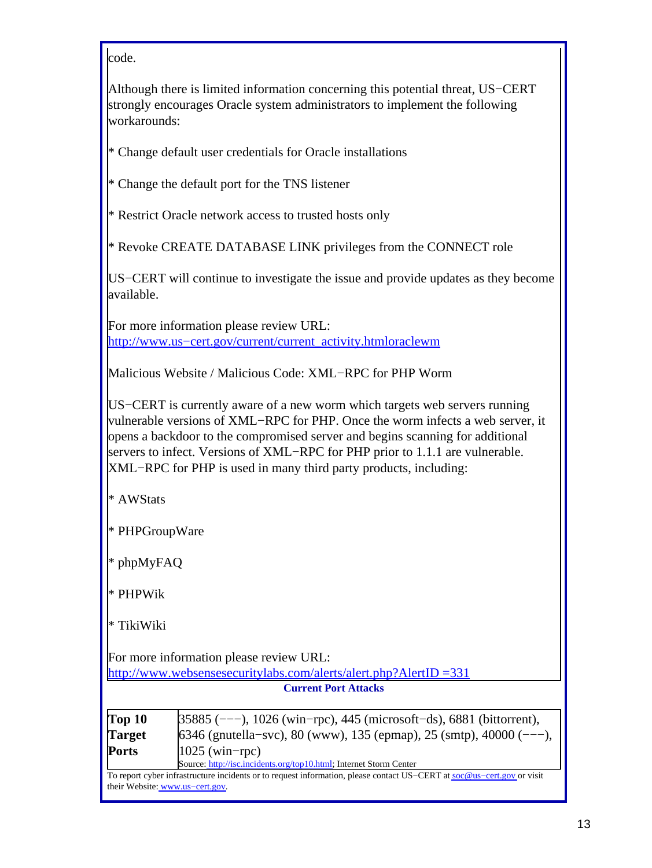#### code.

Although there is limited information concerning this potential threat, US−CERT strongly encourages Oracle system administrators to implement the following workarounds:

\* Change default user credentials for Oracle installations

\* Change the default port for the TNS listener

\* Restrict Oracle network access to trusted hosts only

\* Revoke CREATE DATABASE LINK privileges from the CONNECT role

US−CERT will continue to investigate the issue and provide updates as they become available.

For more information please review URL: http://www.us–cert.gov/current/current\_activity.htmloraclewm

Malicious Website / Malicious Code: XML−RPC for PHP Worm

US−CERT is currently aware of a new worm which targets web servers running vulnerable versions of XML−RPC for PHP. Once the worm infects a web server, it opens a backdoor to the compromised server and begins scanning for additional servers to infect. Versions of XML–RPC for PHP prior to 1.1.1 are vulnerable. XML−RPC for PHP is used in many third party products, including:

\* AWStats

\* PHPGroupWare

\* phpMyFAQ

\* PHPWik

\* TikiWiki

For more information please review URL:

[http://www.websensesecuritylabs.com/alerts/alert.php?AlertID =331](http://www.websensesecuritylabs.com/alerts/alert.php?AlertID=331)

**Current Port Attacks**

| Top <sub>10</sub> | $35885$ (---), 1026 (win-rpc), 445 (microsoft-ds), 6881 (bittorrent), |  |
|-------------------|-----------------------------------------------------------------------|--|
| <b>Target</b>     | $6346$ (gnutella–svc), 80 (www), 135 (epmap), 25 (smtp), 40000 (---), |  |
| <b>Ports</b>      | $1025$ (win-rpc)                                                      |  |
|                   | Source: http://isc.incidents.org/top10.html; Internet Storm Center    |  |

To report cyber infrastructure incidents or to request information, please contact US−CERT at [soc@us−cert.gov](mailto:soc@us-cert.gov) or visit their Website: [www.us−cert.gov.](http://www.us-cert.gov/)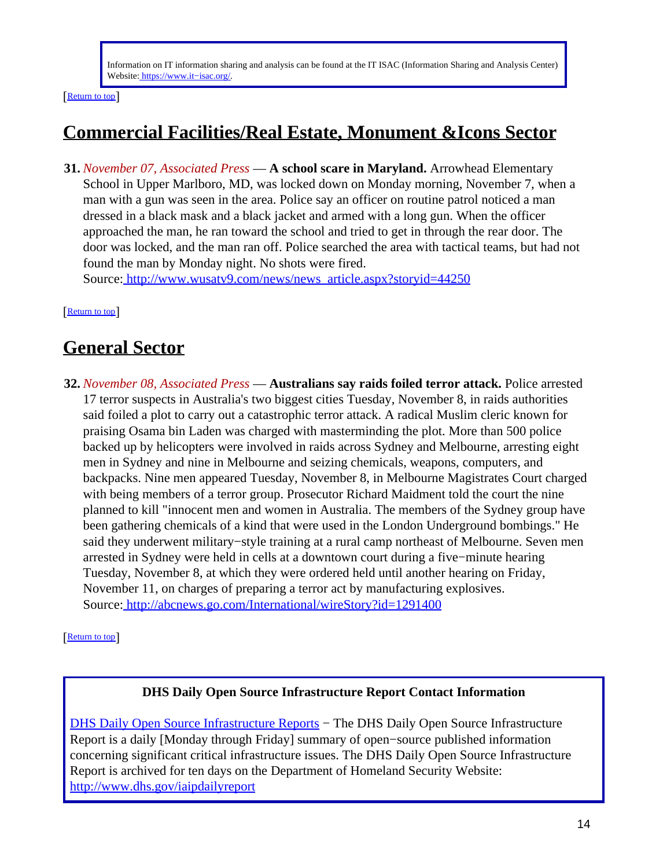Information on IT information sharing and analysis can be found at the IT ISAC (Information Sharing and Analysis Center) Website: [https://www.it−isac.org/.](https://www.it-isac.org/)

[[Return to top](#page-0-1)]

# <span id="page-13-0"></span>**Commercial Facilities/Real Estate, Monument &Icons Sector**

**31.** *November 07, Associated Press* — **A school scare in Maryland.** Arrowhead Elementary School in Upper Marlboro, MD, was locked down on Monday morning, November 7, when a man with a gun was seen in the area. Police say an officer on routine patrol noticed a man dressed in a black mask and a black jacket and armed with a long gun. When the officer approached the man, he ran toward the school and tried to get in through the rear door. The door was locked, and the man ran off. Police searched the area with tactical teams, but had not found the man by Monday night. No shots were fired.

Source[: http://www.wusatv9.com/news/news\\_article.aspx?storyid=44250](http://www.wusatv9.com/news/news_article.aspx?storyid=44250)

[[Return to top](#page-0-1)]

# <span id="page-13-1"></span>**General Sector**

**32.** *November 08, Associated Press* — **Australians say raids foiled terror attack.** Police arrested 17 terror suspects in Australia's two biggest cities Tuesday, November 8, in raids authorities said foiled a plot to carry out a catastrophic terror attack. A radical Muslim cleric known for praising Osama bin Laden was charged with masterminding the plot. More than 500 police backed up by helicopters were involved in raids across Sydney and Melbourne, arresting eight men in Sydney and nine in Melbourne and seizing chemicals, weapons, computers, and backpacks. Nine men appeared Tuesday, November 8, in Melbourne Magistrates Court charged with being members of a terror group. Prosecutor Richard Maidment told the court the nine planned to kill "innocent men and women in Australia. The members of the Sydney group have been gathering chemicals of a kind that were used in the London Underground bombings." He said they underwent military−style training at a rural camp northeast of Melbourne. Seven men arrested in Sydney were held in cells at a downtown court during a five−minute hearing Tuesday, November 8, at which they were ordered held until another hearing on Friday, November 11, on charges of preparing a terror act by manufacturing explosives. Source[: http://abcnews.go.com/International/wireStory?id=1291400](http://abcnews.go.com/International/wireStory?id=1291400)

[[Return to top](#page-0-1)]

#### **DHS Daily Open Source Infrastructure Report Contact Information**

<span id="page-13-2"></span>[DHS Daily Open Source Infrastructure Reports](http://www.dhs.gov/iaipdailyreport) – The DHS Daily Open Source Infrastructure Report is a daily [Monday through Friday] summary of open−source published information concerning significant critical infrastructure issues. The DHS Daily Open Source Infrastructure Report is archived for ten days on the Department of Homeland Security Website: <http://www.dhs.gov/iaipdailyreport>